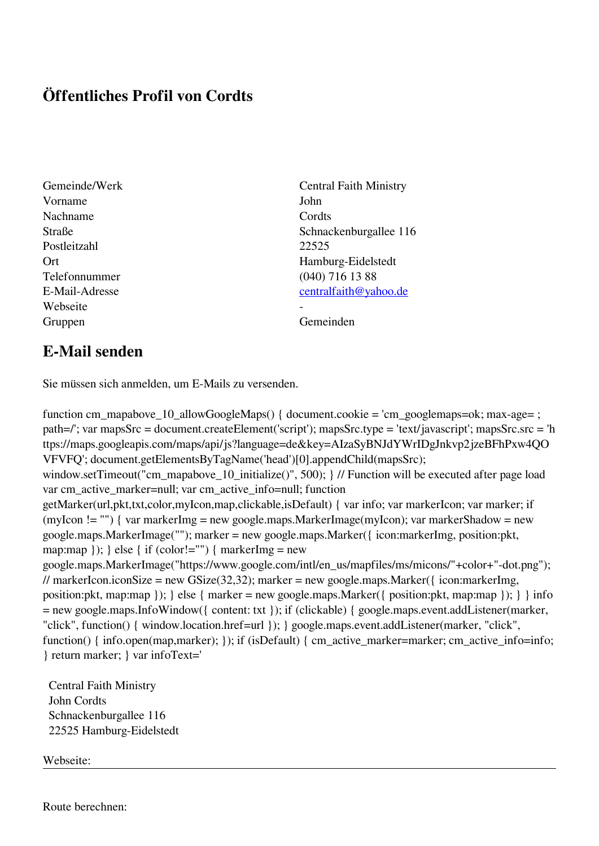## **Öffentliches Profil von Cordts**

- Vorname John Nachname Cordts Postleitzahl 22525 Telefonnummer (040) 716 13 88 Webseite Gruppen Gemeinden Gemeinden Gemeinden Gemeinden Gemeinden Gemeinden Gemeinden Gemeinden Gemeinden Gemeinden G
- Gemeinde/Werk Central Faith Ministry Straße Schnackenburgallee 116 Ort Hamburg-Eidelstedt E-Mail-Adresse [centralfaith@yahoo.de](mailto:centralfaith@yahoo.de)

## **E-Mail senden**

Sie müssen sich anmelden, um E-Mails zu versenden.

function cm\_mapabove\_10\_allowGoogleMaps() { document.cookie = 'cm\_googlemaps=ok; max-age= ; path=/'; var mapsSrc = document.createElement('script'); mapsSrc.type = 'text/javascript'; mapsSrc.src = 'h ttps://maps.googleapis.com/maps/api/js?language=de&key=AIzaSyBNJdYWrIDgJnkvp2jzeBFhPxw4QO VFVFQ'; document.getElementsByTagName('head')[0].appendChild(mapsSrc); window.setTimeout("cm\_mapabove\_10\_initialize()", 500); } // Function will be executed after page load var cm\_active\_marker=null; var cm\_active\_info=null; function getMarker(url,pkt,txt,color,myIcon,map,clickable,isDefault) { var info; var markerIcon; var marker; if (myIcon != "") { var markerImg = new google.maps.MarkerImage(myIcon); var markerShadow = new google.maps.MarkerImage(""); marker = new google.maps.Marker({ icon:markerImg, position:pkt, map:map  $\}$ ;  $\}$  else  $\{$  if (color!="")  $\{$  markerImg = new google.maps.MarkerImage("https://www.google.com/intl/en\_us/mapfiles/ms/micons/"+color+"-dot.png"); // markerIcon.iconSize = new GSize(32,32); marker = new google.maps.Marker({ $i$ con:markerImg, position:pkt, map:map }); } else { marker = new google.maps.Marker({ position:pkt, map:map }); } } info = new google.maps.InfoWindow({ content: txt }); if (clickable) { google.maps.event.addListener(marker, "click", function() { window.location.href=url }); } google.maps.event.addListener(marker, "click", function() { info.open(map,marker); }); if (isDefault) { cm\_active\_marker=marker; cm\_active\_info=info; } return marker; } var infoText='

 Central Faith Ministry John Cordts Schnackenburgallee 116 22525 Hamburg-Eidelstedt

Webseite: